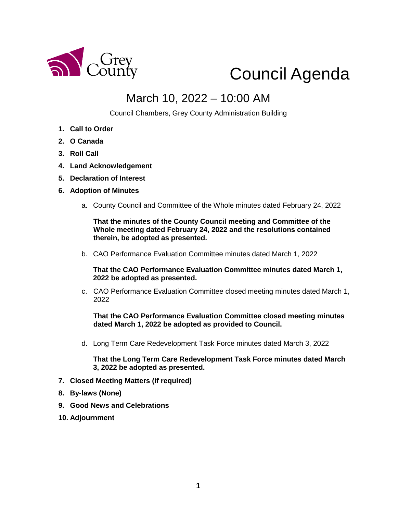

# Council Agenda

## March 10, 2022 – 10:00 AM

Council Chambers, Grey County Administration Building

- **1. Call to Order**
- **2. O Canada**
- **3. Roll Call**
- **4. Land Acknowledgement**
- **5. Declaration of Interest**
- **6. Adoption of Minutes** 
	- a. County Council and Committee of the Whole minutes dated February 24, 2022

**That the minutes of the County Council meeting and Committee of the Whole meeting dated February 24, 2022 and the resolutions contained therein, be adopted as presented.** 

b. CAO Performance Evaluation Committee minutes dated March 1, 2022

**That the CAO Performance Evaluation Committee minutes dated March 1, 2022 be adopted as presented.** 

c. CAO Performance Evaluation Committee closed meeting minutes dated March 1, 2022

**That the CAO Performance Evaluation Committee closed meeting minutes dated March 1, 2022 be adopted as provided to Council.** 

d. Long Term Care Redevelopment Task Force minutes dated March 3, 2022

**That the Long Term Care Redevelopment Task Force minutes dated March 3, 2022 be adopted as presented.**

- **7. Closed Meeting Matters (if required)**
- **8. By-laws (None)**
- **9. Good News and Celebrations**
- **10. Adjournment**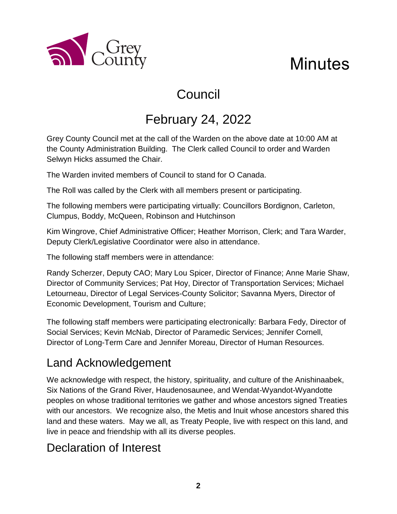



## February 24, 2022

Grey County Council met at the call of the Warden on the above date at 10:00 AM at the County Administration Building. The Clerk called Council to order and Warden Selwyn Hicks assumed the Chair.

The Warden invited members of Council to stand for O Canada.

The Roll was called by the Clerk with all members present or participating.

The following members were participating virtually: Councillors Bordignon, Carleton, Clumpus, Boddy, McQueen, Robinson and Hutchinson

Kim Wingrove, Chief Administrative Officer; Heather Morrison, Clerk; and Tara Warder, Deputy Clerk/Legislative Coordinator were also in attendance.

The following staff members were in attendance:

Randy Scherzer, Deputy CAO; Mary Lou Spicer, Director of Finance; Anne Marie Shaw, Director of Community Services; Pat Hoy, Director of Transportation Services; Michael Letourneau, Director of Legal Services-County Solicitor; Savanna Myers, Director of Economic Development, Tourism and Culture;

The following staff members were participating electronically: Barbara Fedy, Director of Social Services; Kevin McNab, Director of Paramedic Services; Jennifer Cornell, Director of Long-Term Care and Jennifer Moreau, Director of Human Resources.

## Land Acknowledgement

a County

We acknowledge with respect, the history, spirituality, and culture of the Anishinaabek, Six Nations of the Grand River, Haudenosaunee, and Wendat-Wyandot-Wyandotte peoples on whose traditional territories we gather and whose ancestors signed Treaties with our ancestors. We recognize also, the Metis and Inuit whose ancestors shared this land and these waters. May we all, as Treaty People, live with respect on this land, and live in peace and friendship with all its diverse peoples.

## Declaration of Interest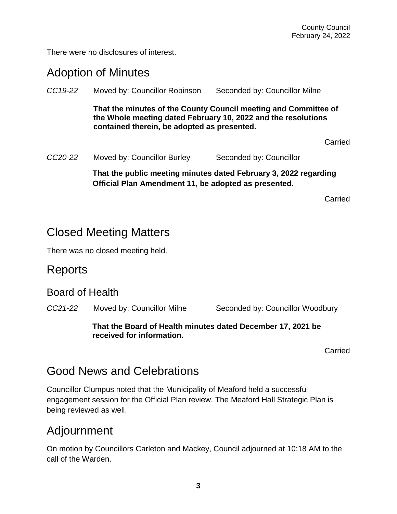There were no disclosures of interest.

## Adoption of Minutes

| CC19-22              | Moved by: Councillor Robinson                                                                                                                                                   | Seconded by: Councillor Milne |  |
|----------------------|---------------------------------------------------------------------------------------------------------------------------------------------------------------------------------|-------------------------------|--|
|                      | That the minutes of the County Council meeting and Committee of<br>the Whole meeting dated February 10, 2022 and the resolutions<br>contained therein, be adopted as presented. |                               |  |
|                      |                                                                                                                                                                                 | Carried                       |  |
| CC <sub>20</sub> -22 | Moved by: Councillor Burley                                                                                                                                                     | Seconded by: Councillor       |  |
|                      | That the public meeting minutes dated February 3, 2022 regarding<br>Official Plan Amendment 11, be adopted as presented.                                                        |                               |  |

Carried

## Closed Meeting Matters

There was no closed meeting held.

#### **Reports**

#### Board of Health

*CC21-22* Moved by: Councillor Milne Seconded by: Councillor Woodbury

#### **That the Board of Health minutes dated December 17, 2021 be received for information.**

Carried

## Good News and Celebrations

Councillor Clumpus noted that the Municipality of Meaford held a successful engagement session for the Official Plan review. The Meaford Hall Strategic Plan is being reviewed as well.

## Adjournment

On motion by Councillors Carleton and Mackey, Council adjourned at 10:18 AM to the call of the Warden.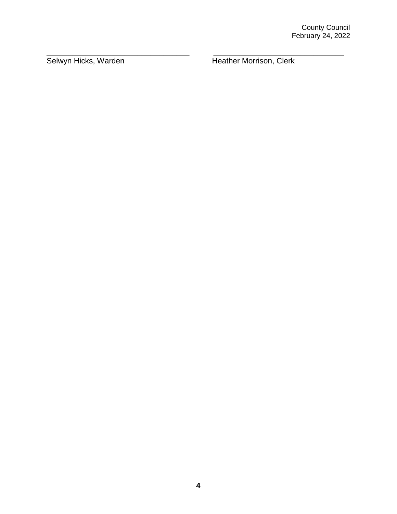Selwyn Hicks, Warden Heather Morrison, Clerk

\_\_\_\_\_\_\_\_\_\_\_\_\_\_\_\_\_\_\_\_\_\_\_\_\_\_\_\_\_\_\_\_\_ \_\_\_\_\_\_\_\_\_\_\_\_\_\_\_\_\_\_\_\_\_\_\_\_\_\_\_\_\_\_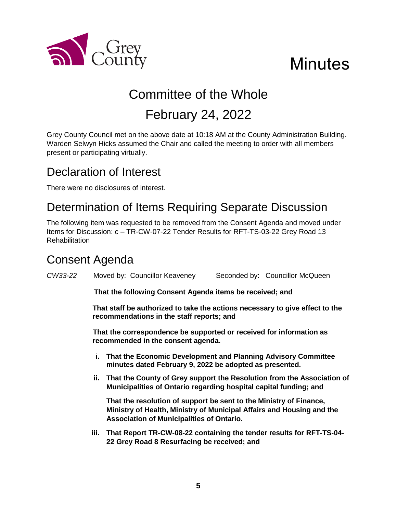

# **Minutes**

## Committee of the Whole February 24, 2022

Grey County Council met on the above date at 10:18 AM at the County Administration Building. Warden Selwyn Hicks assumed the Chair and called the meeting to order with all members present or participating virtually.

## Declaration of Interest

There were no disclosures of interest.

## Determination of Items Requiring Separate Discussion

The following item was requested to be removed from the Consent Agenda and moved under Items for Discussion: c – TR-CW-07-22 Tender Results for RFT-TS-03-22 Grey Road 13 **Rehabilitation** 

## Consent Agenda

*CW33-22* Moved by: Councillor Keaveney Seconded by: Councillor McQueen

**That the following Consent Agenda items be received; and**

**That staff be authorized to take the actions necessary to give effect to the recommendations in the staff reports; and**

**That the correspondence be supported or received for information as recommended in the consent agenda.**

- **i. That the Economic Development and Planning Advisory Committee minutes dated February 9, 2022 be adopted as presented.**
- **ii. That the County of Grey support the Resolution from the Association of Municipalities of Ontario regarding hospital capital funding; and**

**That the resolution of support be sent to the Ministry of Finance, Ministry of Health, Ministry of Municipal Affairs and Housing and the Association of Municipalities of Ontario.** 

**iii. That Report TR-CW-08-22 containing the tender results for RFT-TS-04- 22 Grey Road 8 Resurfacing be received; and**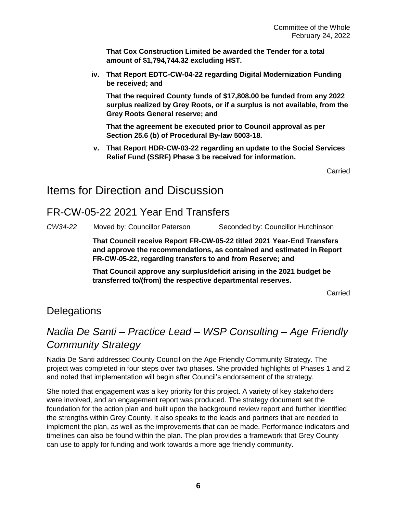**That Cox Construction Limited be awarded the Tender for a total amount of \$1,794,744.32 excluding HST.**

**iv. That Report EDTC-CW-04-22 regarding Digital Modernization Funding be received; and** 

**That the required County funds of \$17,808.00 be funded from any 2022 surplus realized by Grey Roots, or if a surplus is not available, from the Grey Roots General reserve; and**

**That the agreement be executed prior to Council approval as per Section 25.6 (b) of Procedural By-law 5003-18.**

**v. That Report HDR-CW-03-22 regarding an update to the Social Services Relief Fund (SSRF) Phase 3 be received for information.**

Carried

### Items for Direction and Discussion

#### FR-CW-05-22 2021 Year End Transfers

*CW34-22* Moved by: Councillor Paterson Seconded by: Councillor Hutchinson

**That Council receive Report FR-CW-05-22 titled 2021 Year-End Transfers and approve the recommendations, as contained and estimated in Report FR-CW-05-22, regarding transfers to and from Reserve; and**

**That Council approve any surplus/deficit arising in the 2021 budget be transferred to/(from) the respective departmental reserves.**

Carried

#### **Delegations**

## *Nadia De Santi – Practice Lead – WSP Consulting – Age Friendly Community Strategy*

Nadia De Santi addressed County Council on the Age Friendly Community Strategy. The project was completed in four steps over two phases. She provided highlights of Phases 1 and 2 and noted that implementation will begin after Council's endorsement of the strategy.

She noted that engagement was a key priority for this project. A variety of key stakeholders were involved, and an engagement report was produced. The strategy document set the foundation for the action plan and built upon the background review report and further identified the strengths within Grey County. It also speaks to the leads and partners that are needed to implement the plan, as well as the improvements that can be made. Performance indicators and timelines can also be found within the plan. The plan provides a framework that Grey County can use to apply for funding and work towards a more age friendly community.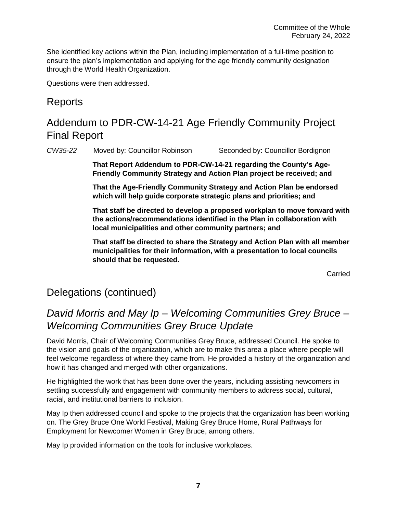She identified key actions within the Plan, including implementation of a full-time position to ensure the plan's implementation and applying for the age friendly community designation through the World Health Organization.

Questions were then addressed.

#### Reports

## Addendum to PDR-CW-14-21 Age Friendly Community Project Final Report

*CW35-22* Moved by: Councillor Robinson Seconded by: Councillor Bordignon

**That Report Addendum to PDR-CW-14-21 regarding the County's Age-Friendly Community Strategy and Action Plan project be received; and**

**That the Age-Friendly Community Strategy and Action Plan be endorsed which will help guide corporate strategic plans and priorities; and**

**That staff be directed to develop a proposed workplan to move forward with the actions/recommendations identified in the Plan in collaboration with local municipalities and other community partners; and**

**That staff be directed to share the Strategy and Action Plan with all member municipalities for their information, with a presentation to local councils should that be requested.** 

Carried

#### Delegations (continued)

#### *David Morris and May Ip – Welcoming Communities Grey Bruce – Welcoming Communities Grey Bruce Update*

David Morris, Chair of Welcoming Communities Grey Bruce, addressed Council. He spoke to the vision and goals of the organization, which are to make this area a place where people will feel welcome regardless of where they came from. He provided a history of the organization and how it has changed and merged with other organizations.

He highlighted the work that has been done over the years, including assisting newcomers in settling successfully and engagement with community members to address social, cultural, racial, and institutional barriers to inclusion.

May Ip then addressed council and spoke to the projects that the organization has been working on. The Grey Bruce One World Festival, Making Grey Bruce Home, Rural Pathways for Employment for Newcomer Women in Grey Bruce, among others.

May Ip provided information on the tools for inclusive workplaces.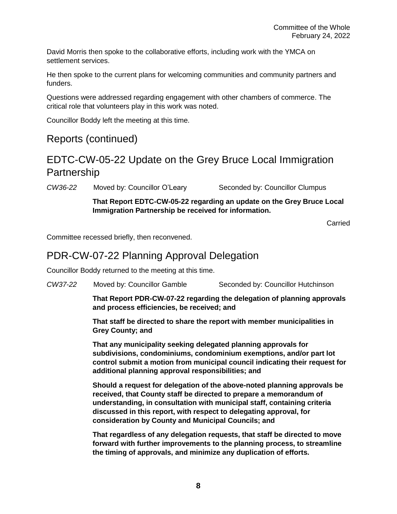David Morris then spoke to the collaborative efforts, including work with the YMCA on settlement services.

He then spoke to the current plans for welcoming communities and community partners and funders.

Questions were addressed regarding engagement with other chambers of commerce. The critical role that volunteers play in this work was noted.

Councillor Boddy left the meeting at this time.

#### Reports (continued)

#### EDTC-CW-05-22 Update on the Grey Bruce Local Immigration **Partnership**

*CW36-22* Moved by: Councillor O'Leary Seconded by: Councillor Clumpus

**That Report EDTC-CW-05-22 regarding an update on the Grey Bruce Local Immigration Partnership be received for information.**

Carried

Committee recessed briefly, then reconvened.

#### PDR-CW-07-22 Planning Approval Delegation

Councillor Boddy returned to the meeting at this time.

*CW37-22* Moved by: Councillor Gamble Seconded by: Councillor Hutchinson

**That Report PDR-CW-07-22 regarding the delegation of planning approvals and process efficiencies, be received; and**

**That staff be directed to share the report with member municipalities in Grey County; and**

**That any municipality seeking delegated planning approvals for subdivisions, condominiums, condominium exemptions, and/or part lot control submit a motion from municipal council indicating their request for additional planning approval responsibilities; and**

**Should a request for delegation of the above-noted planning approvals be received, that County staff be directed to prepare a memorandum of understanding, in consultation with municipal staff, containing criteria discussed in this report, with respect to delegating approval, for consideration by County and Municipal Councils; and**

**That regardless of any delegation requests, that staff be directed to move forward with further improvements to the planning process, to streamline the timing of approvals, and minimize any duplication of efforts.**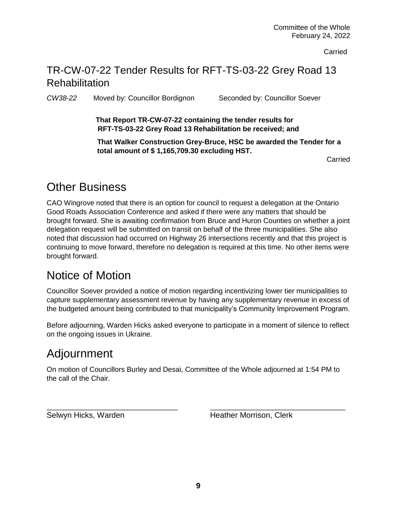**Carried** 

#### TR-CW-07-22 Tender Results for RFT-TS-03-22 Grey Road 13 **Rehabilitation**

*CW38-22* Moved by: Councillor Bordignon Seconded by: Councillor Soever

**That Report TR-CW-07-22 containing the tender results for RFT-TS-03-22 Grey Road 13 Rehabilitation be received; and**

**That Walker Construction Grey-Bruce, HSC be awarded the Tender for a total amount of \$ 1,165,709.30 excluding HST.**

Carried

## Other Business

CAO Wingrove noted that there is an option for council to request a delegation at the Ontario Good Roads Association Conference and asked if there were any matters that should be brought forward. She is awaiting confirmation from Bruce and Huron Counties on whether a joint delegation request will be submitted on transit on behalf of the three municipalities. She also noted that discussion had occurred on Highway 26 intersections recently and that this project is continuing to move forward, therefore no delegation is required at this time. No other items were brought forward.

## Notice of Motion

Councillor Soever provided a notice of motion regarding incentivizing lower tier municipalities to capture supplementary assessment revenue by having any supplementary revenue in excess of the budgeted amount being contributed to that municipality's Community Improvement Program.

Before adjourning, Warden Hicks asked everyone to participate in a moment of silence to reflect on the ongoing issues in Ukraine.

## Adjournment

On motion of Councillors Burley and Desai, Committee of the Whole adjourned at 1:54 PM to the call of the Chair.

\_\_\_\_\_\_\_\_\_\_\_\_\_\_\_\_\_\_\_\_\_\_\_\_\_\_\_\_\_\_\_\_\_ \_\_\_\_\_\_\_\_\_\_\_\_\_\_\_\_\_\_\_\_\_\_\_\_\_\_\_\_\_\_\_\_\_\_

Selwyn Hicks, Warden **Heather Morrison**, Clerk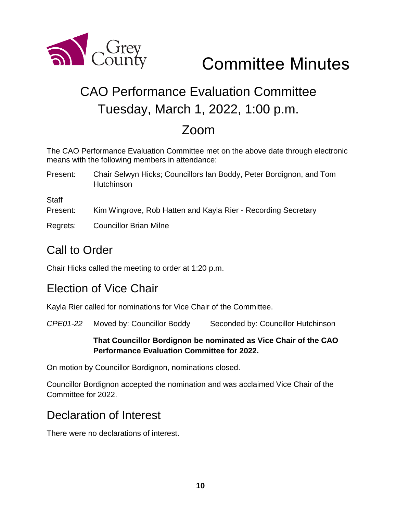

# Committee Minutes

## CAO Performance Evaluation Committee Tuesday, March 1, 2022, 1:00 p.m.

## Zoom

The CAO Performance Evaluation Committee met on the above date through electronic means with the following members in attendance:

Present: Chair Selwyn Hicks; Councillors Ian Boddy, Peter Bordignon, and Tom Hutchinson

**Staff** 

- Present: Kim Wingrove, Rob Hatten and Kayla Rier Recording Secretary
- Regrets: Councillor Brian Milne

## Call to Order

Chair Hicks called the meeting to order at 1:20 p.m.

#### Election of Vice Chair

Kayla Rier called for nominations for Vice Chair of the Committee.

*CPE01-22* Moved by: Councillor Boddy Seconded by: Councillor Hutchinson

#### **That Councillor Bordignon be nominated as Vice Chair of the CAO Performance Evaluation Committee for 2022.**

On motion by Councillor Bordignon, nominations closed.

Councillor Bordignon accepted the nomination and was acclaimed Vice Chair of the Committee for 2022.

## Declaration of Interest

There were no declarations of interest.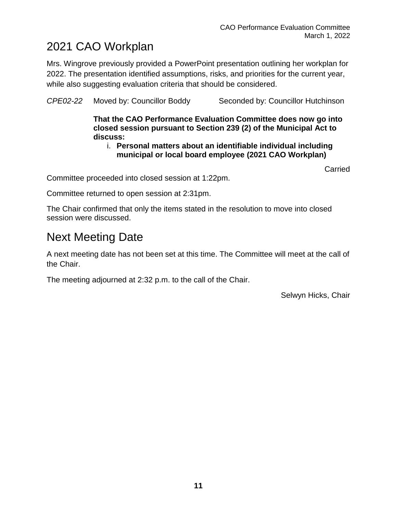## 2021 CAO Workplan

Mrs. Wingrove previously provided a PowerPoint presentation outlining her workplan for 2022. The presentation identified assumptions, risks, and priorities for the current year, while also suggesting evaluation criteria that should be considered.

*CPE02-22* Moved by: Councillor Boddy Seconded by: Councillor Hutchinson

**That the CAO Performance Evaluation Committee does now go into closed session pursuant to Section 239 (2) of the Municipal Act to discuss:**

i. **Personal matters about an identifiable individual including municipal or local board employee (2021 CAO Workplan)**

**Carried** 

Committee proceeded into closed session at 1:22pm.

Committee returned to open session at 2:31pm.

The Chair confirmed that only the items stated in the resolution to move into closed session were discussed.

## Next Meeting Date

A next meeting date has not been set at this time. The Committee will meet at the call of the Chair.

The meeting adjourned at 2:32 p.m. to the call of the Chair.

Selwyn Hicks, Chair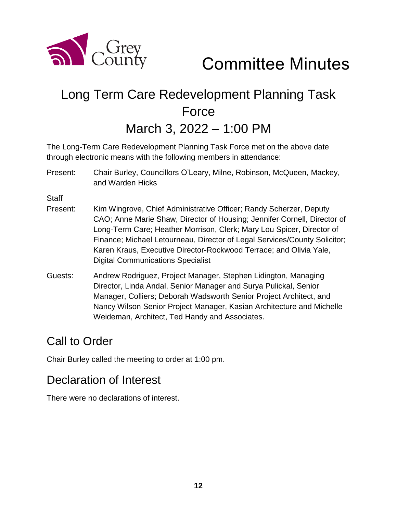

Committee Minutes

# Long Term Care Redevelopment Planning Task Force

March 3, 2022 – 1:00 PM

The Long-Term Care Redevelopment Planning Task Force met on the above date through electronic means with the following members in attendance:

Present: Chair Burley, Councillors O'Leary, Milne, Robinson, McQueen, Mackey, and Warden Hicks

**Staff** 

- Present: Kim Wingrove, Chief Administrative Officer; Randy Scherzer, Deputy CAO; Anne Marie Shaw, Director of Housing; Jennifer Cornell, Director of Long-Term Care; Heather Morrison, Clerk; Mary Lou Spicer, Director of Finance; Michael Letourneau, Director of Legal Services/County Solicitor; Karen Kraus, Executive Director-Rockwood Terrace; and Olivia Yale, Digital Communications Specialist
- Guests: Andrew Rodriguez, Project Manager, Stephen Lidington, Managing Director, Linda Andal, Senior Manager and Surya Pulickal, Senior Manager, Colliers; Deborah Wadsworth Senior Project Architect, and Nancy Wilson Senior Project Manager, Kasian Architecture and Michelle Weideman, Architect, Ted Handy and Associates.

## Call to Order

Chair Burley called the meeting to order at 1:00 pm.

## Declaration of Interest

There were no declarations of interest.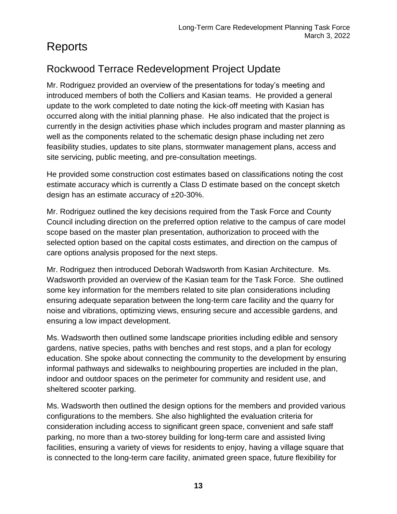## Reports

## Rockwood Terrace Redevelopment Project Update

Mr. Rodriguez provided an overview of the presentations for today's meeting and introduced members of both the Colliers and Kasian teams. He provided a general update to the work completed to date noting the kick-off meeting with Kasian has occurred along with the initial planning phase. He also indicated that the project is currently in the design activities phase which includes program and master planning as well as the components related to the schematic design phase including net zero feasibility studies, updates to site plans, stormwater management plans, access and site servicing, public meeting, and pre-consultation meetings.

He provided some construction cost estimates based on classifications noting the cost estimate accuracy which is currently a Class D estimate based on the concept sketch design has an estimate accuracy of  $\pm 20-30\%$ .

Mr. Rodriguez outlined the key decisions required from the Task Force and County Council including direction on the preferred option relative to the campus of care model scope based on the master plan presentation, authorization to proceed with the selected option based on the capital costs estimates, and direction on the campus of care options analysis proposed for the next steps.

Mr. Rodriguez then introduced Deborah Wadsworth from Kasian Architecture. Ms. Wadsworth provided an overview of the Kasian team for the Task Force. She outlined some key information for the members related to site plan considerations including ensuring adequate separation between the long-term care facility and the quarry for noise and vibrations, optimizing views, ensuring secure and accessible gardens, and ensuring a low impact development.

Ms. Wadsworth then outlined some landscape priorities including edible and sensory gardens, native species, paths with benches and rest stops, and a plan for ecology education. She spoke about connecting the community to the development by ensuring informal pathways and sidewalks to neighbouring properties are included in the plan, indoor and outdoor spaces on the perimeter for community and resident use, and sheltered scooter parking.

Ms. Wadsworth then outlined the design options for the members and provided various configurations to the members. She also highlighted the evaluation criteria for consideration including access to significant green space, convenient and safe staff parking, no more than a two-storey building for long-term care and assisted living facilities, ensuring a variety of views for residents to enjoy, having a village square that is connected to the long-term care facility, animated green space, future flexibility for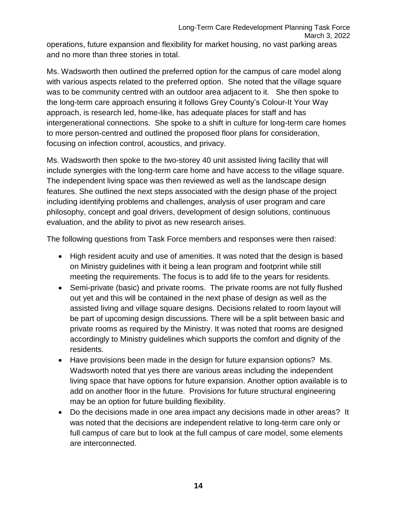operations, future expansion and flexibility for market housing, no vast parking areas and no more than three stories in total.

Ms. Wadsworth then outlined the preferred option for the campus of care model along with various aspects related to the preferred option. She noted that the village square was to be community centred with an outdoor area adjacent to it. She then spoke to the long-term care approach ensuring it follows Grey County's Colour-It Your Way approach, is research led, home-like, has adequate places for staff and has intergenerational connections. She spoke to a shift in culture for long-term care homes to more person-centred and outlined the proposed floor plans for consideration, focusing on infection control, acoustics, and privacy.

Ms. Wadsworth then spoke to the two-storey 40 unit assisted living facility that will include synergies with the long-term care home and have access to the village square. The independent living space was then reviewed as well as the landscape design features. She outlined the next steps associated with the design phase of the project including identifying problems and challenges, analysis of user program and care philosophy, concept and goal drivers, development of design solutions, continuous evaluation, and the ability to pivot as new research arises.

The following questions from Task Force members and responses were then raised:

- High resident acuity and use of amenities. It was noted that the design is based on Ministry guidelines with it being a lean program and footprint while still meeting the requirements. The focus is to add life to the years for residents.
- Semi-private (basic) and private rooms. The private rooms are not fully flushed out yet and this will be contained in the next phase of design as well as the assisted living and village square designs. Decisions related to room layout will be part of upcoming design discussions. There will be a split between basic and private rooms as required by the Ministry. It was noted that rooms are designed accordingly to Ministry guidelines which supports the comfort and dignity of the residents.
- Have provisions been made in the design for future expansion options? Ms. Wadsworth noted that yes there are various areas including the independent living space that have options for future expansion. Another option available is to add on another floor in the future. Provisions for future structural engineering may be an option for future building flexibility.
- Do the decisions made in one area impact any decisions made in other areas? It was noted that the decisions are independent relative to long-term care only or full campus of care but to look at the full campus of care model, some elements are interconnected.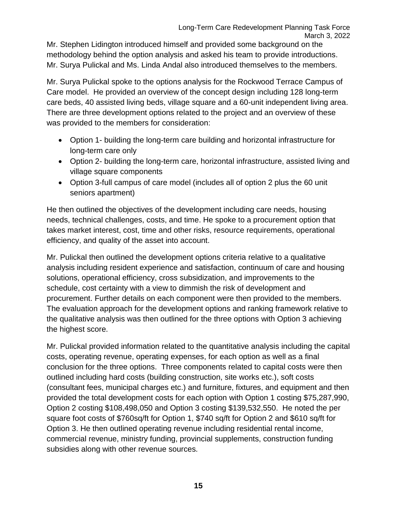Mr. Stephen Lidington introduced himself and provided some background on the methodology behind the option analysis and asked his team to provide introductions. Mr. Surya Pulickal and Ms. Linda Andal also introduced themselves to the members.

Mr. Surya Pulickal spoke to the options analysis for the Rockwood Terrace Campus of Care model. He provided an overview of the concept design including 128 long-term care beds, 40 assisted living beds, village square and a 60-unit independent living area. There are three development options related to the project and an overview of these was provided to the members for consideration:

- Option 1- building the long-term care building and horizontal infrastructure for long-term care only
- Option 2- building the long-term care, horizontal infrastructure, assisted living and village square components
- Option 3-full campus of care model (includes all of option 2 plus the 60 unit seniors apartment)

He then outlined the objectives of the development including care needs, housing needs, technical challenges, costs, and time. He spoke to a procurement option that takes market interest, cost, time and other risks, resource requirements, operational efficiency, and quality of the asset into account.

Mr. Pulickal then outlined the development options criteria relative to a qualitative analysis including resident experience and satisfaction, continuum of care and housing solutions, operational efficiency, cross subsidization, and improvements to the schedule, cost certainty with a view to dimmish the risk of development and procurement. Further details on each component were then provided to the members. The evaluation approach for the development options and ranking framework relative to the qualitative analysis was then outlined for the three options with Option 3 achieving the highest score.

Mr. Pulickal provided information related to the quantitative analysis including the capital costs, operating revenue, operating expenses, for each option as well as a final conclusion for the three options. Three components related to capital costs were then outlined including hard costs (building construction, site works etc.), soft costs (consultant fees, municipal charges etc.) and furniture, fixtures, and equipment and then provided the total development costs for each option with Option 1 costing \$75,287,990, Option 2 costing \$108,498,050 and Option 3 costing \$139,532,550. He noted the per square foot costs of \$760sq/ft for Option 1, \$740 sq/ft for Option 2 and \$610 sq/ft for Option 3. He then outlined operating revenue including residential rental income, commercial revenue, ministry funding, provincial supplements, construction funding subsidies along with other revenue sources.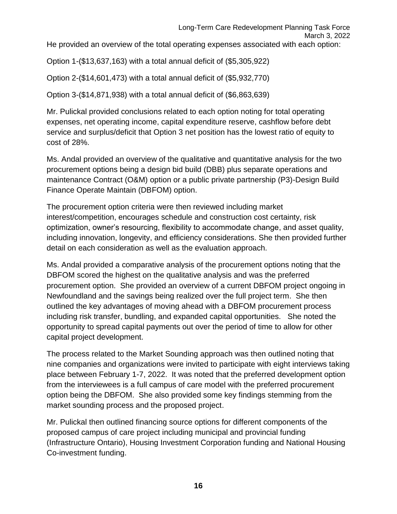He provided an overview of the total operating expenses associated with each option:

Option 1-(\$13,637,163) with a total annual deficit of (\$5,305,922)

Option 2-(\$14,601,473) with a total annual deficit of (\$5,932,770)

Option 3-(\$14,871,938) with a total annual deficit of (\$6,863,639)

Mr. Pulickal provided conclusions related to each option noting for total operating expenses, net operating income, capital expenditure reserve, cashflow before debt service and surplus/deficit that Option 3 net position has the lowest ratio of equity to cost of 28%.

Ms. Andal provided an overview of the qualitative and quantitative analysis for the two procurement options being a design bid build (DBB) plus separate operations and maintenance Contract (O&M) option or a public private partnership (P3)-Design Build Finance Operate Maintain (DBFOM) option.

The procurement option criteria were then reviewed including market interest/competition, encourages schedule and construction cost certainty, risk optimization, owner's resourcing, flexibility to accommodate change, and asset quality, including innovation, longevity, and efficiency considerations. She then provided further detail on each consideration as well as the evaluation approach.

Ms. Andal provided a comparative analysis of the procurement options noting that the DBFOM scored the highest on the qualitative analysis and was the preferred procurement option. She provided an overview of a current DBFOM project ongoing in Newfoundland and the savings being realized over the full project term. She then outlined the key advantages of moving ahead with a DBFOM procurement process including risk transfer, bundling, and expanded capital opportunities. She noted the opportunity to spread capital payments out over the period of time to allow for other capital project development.

The process related to the Market Sounding approach was then outlined noting that nine companies and organizations were invited to participate with eight interviews taking place between February 1-7, 2022. It was noted that the preferred development option from the interviewees is a full campus of care model with the preferred procurement option being the DBFOM. She also provided some key findings stemming from the market sounding process and the proposed project.

Mr. Pulickal then outlined financing source options for different components of the proposed campus of care project including municipal and provincial funding (Infrastructure Ontario), Housing Investment Corporation funding and National Housing Co-investment funding.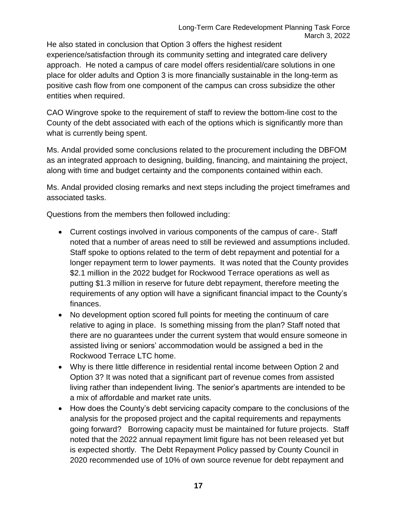He also stated in conclusion that Option 3 offers the highest resident experience/satisfaction through its community setting and integrated care delivery approach. He noted a campus of care model offers residential/care solutions in one place for older adults and Option 3 is more financially sustainable in the long-term as positive cash flow from one component of the campus can cross subsidize the other entities when required.

CAO Wingrove spoke to the requirement of staff to review the bottom-line cost to the County of the debt associated with each of the options which is significantly more than what is currently being spent.

Ms. Andal provided some conclusions related to the procurement including the DBFOM as an integrated approach to designing, building, financing, and maintaining the project, along with time and budget certainty and the components contained within each.

Ms. Andal provided closing remarks and next steps including the project timeframes and associated tasks.

Questions from the members then followed including:

- Current costings involved in various components of the campus of care-. Staff noted that a number of areas need to still be reviewed and assumptions included. Staff spoke to options related to the term of debt repayment and potential for a longer repayment term to lower payments. It was noted that the County provides \$2.1 million in the 2022 budget for Rockwood Terrace operations as well as putting \$1.3 million in reserve for future debt repayment, therefore meeting the requirements of any option will have a significant financial impact to the County's finances.
- No development option scored full points for meeting the continuum of care relative to aging in place. Is something missing from the plan? Staff noted that there are no guarantees under the current system that would ensure someone in assisted living or seniors' accommodation would be assigned a bed in the Rockwood Terrace LTC home.
- Why is there little difference in residential rental income between Option 2 and Option 3? It was noted that a significant part of revenue comes from assisted living rather than independent living. The senior's apartments are intended to be a mix of affordable and market rate units.
- How does the County's debt servicing capacity compare to the conclusions of the analysis for the proposed project and the capital requirements and repayments going forward? Borrowing capacity must be maintained for future projects. Staff noted that the 2022 annual repayment limit figure has not been released yet but is expected shortly. The Debt Repayment Policy passed by County Council in 2020 recommended use of 10% of own source revenue for debt repayment and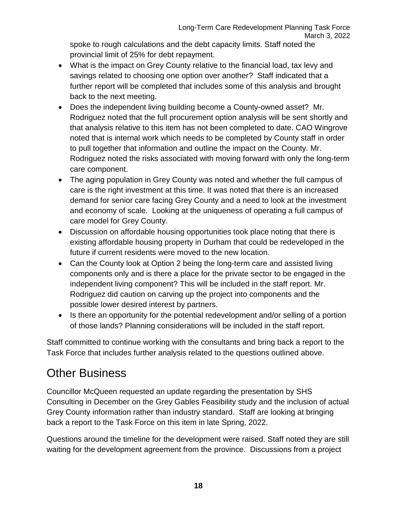spoke to rough calculations and the debt capacity limits. Staff noted the provincial limit of 25% for debt repayment.

- What is the impact on Grey County relative to the financial load, tax levy and savings related to choosing one option over another? Staff indicated that a further report will be completed that includes some of this analysis and brought back to the next meeting.
- Does the independent living building become a County-owned asset? Mr. Rodriguez noted that the full procurement option analysis will be sent shortly and that analysis relative to this item has not been completed to date. CAO Wingrove noted that is internal work which needs to be completed by County staff in order to pull together that information and outline the impact on the County. Mr. Rodriguez noted the risks associated with moving forward with only the long-term care component.
- The aging population in Grey County was noted and whether the full campus of care is the right investment at this time. It was noted that there is an increased demand for senior care facing Grey County and a need to look at the investment and economy of scale. Looking at the uniqueness of operating a full campus of care model for Grey County.
- Discussion on affordable housing opportunities took place noting that there is existing affordable housing property in Durham that could be redeveloped in the future if current residents were moved to the new location.
- Can the County look at Option 2 being the long-term care and assisted living components only and is there a place for the private sector to be engaged in the independent living component? This will be included in the staff report. Mr. Rodriguez did caution on carving up the project into components and the possible lower desired interest by partners.
- Is there an opportunity for the potential redevelopment and/or selling of a portion of those lands? Planning considerations will be included in the staff report.

Staff committed to continue working with the consultants and bring back a report to the Task Force that includes further analysis related to the questions outlined above.

## Other Business

Councillor McQueen requested an update regarding the presentation by SHS Consulting in December on the Grey Gables Feasibility study and the inclusion of actual Grey County information rather than industry standard. Staff are looking at bringing back a report to the Task Force on this item in late Spring, 2022.

Questions around the timeline for the development were raised. Staff noted they are still waiting for the development agreement from the province. Discussions from a project